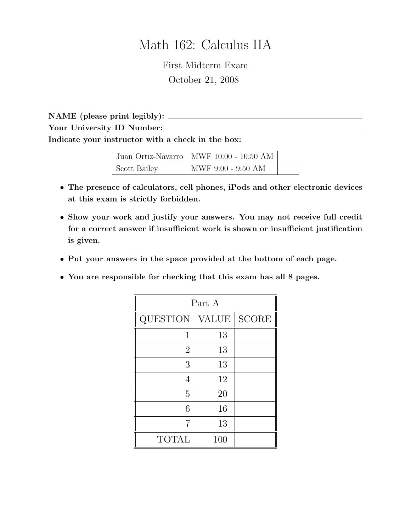## Math 162: Calculus IIA

First Midterm Exam October 21, 2008

NAME (please print legibly): Your University ID Number: Indicate your instructor with a check in the box:

|              | Juan Ortiz-Navarro MWF $10:00 - 10:50$ AM |  |
|--------------|-------------------------------------------|--|
| Scott Bailey | MWF 9:00 - 9:50 AM                        |  |

- The presence of calculators, cell phones, iPods and other electronic devices at this exam is strictly forbidden.
- Show your work and justify your answers. You may not receive full credit for a correct answer if insufficient work is shown or insufficient justification is given.
- Put your answers in the space provided at the bottom of each page.
- You are responsible for checking that this exam has all 8 pages.

| Part A          |       |                        |  |
|-----------------|-------|------------------------|--|
| <b>QUESTION</b> | VALUE | $\operatorname{SCORE}$ |  |
| 1               | 13    |                        |  |
| $\overline{2}$  | 13    |                        |  |
| 3               | 13    |                        |  |
| 4               | 12    |                        |  |
| $\overline{5}$  | 20    |                        |  |
| 6               | 16    |                        |  |
| 7               | 13    |                        |  |
| <b>TOTAL</b>    | 100   |                        |  |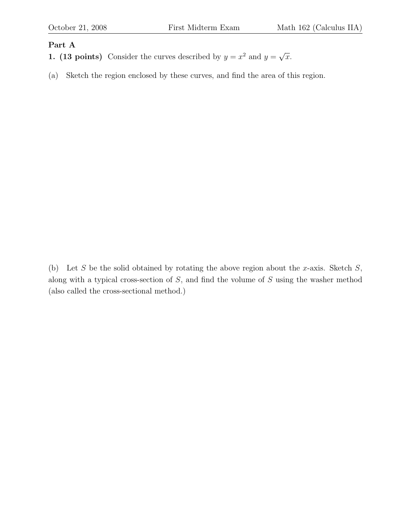## Part A

- 1. (13 points) Consider the curves described by  $y = x^2$  and  $y = \sqrt{ }$  $\overline{x}$ .
- (a) Sketch the region enclosed by these curves, and find the area of this region.

(b) Let S be the solid obtained by rotating the above region about the x-axis. Sketch  $S$ , along with a typical cross-section of  $S$ , and find the volume of  $S$  using the washer method (also called the cross-sectional method.)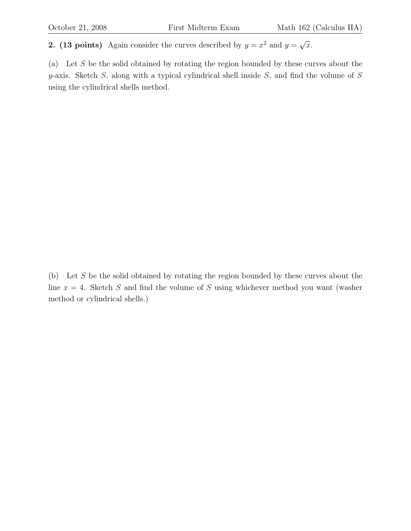**2. (13 points)** Again consider the curves described by  $y = x^2$  and  $y = \sqrt{ }$  $\overline{x}$ .

(a) Let S be the solid obtained by rotating the region bounded by these curves about the y-axis. Sketch  $S$ , along with a typical cylindrical shell inside  $S$ , and find the volume of  $S$ using the cylindrical shells method.

(b) Let  $S$  be the solid obtained by rotating the region bounded by these curves about the line  $x = 4$ . Sketch S and find the volume of S using whichever method you want (washer method or cylindrical shells.)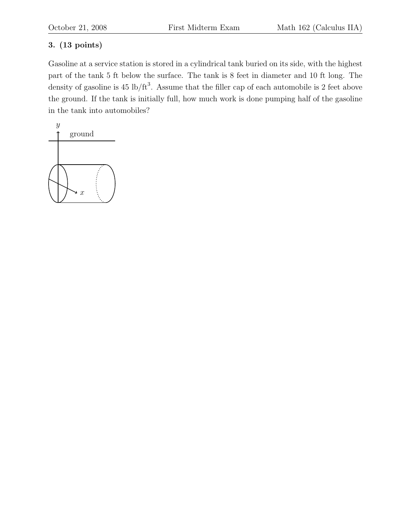## 3. (13 points)

Gasoline at a service station is stored in a cylindrical tank buried on its side, with the highest part of the tank 5 ft below the surface. The tank is 8 feet in diameter and 10 ft long. The density of gasoline is  $45 \text{ lb/ft}^3$ . Assume that the filler cap of each automobile is 2 feet above the ground. If the tank is initially full, how much work is done pumping half of the gasoline in the tank into automobiles?

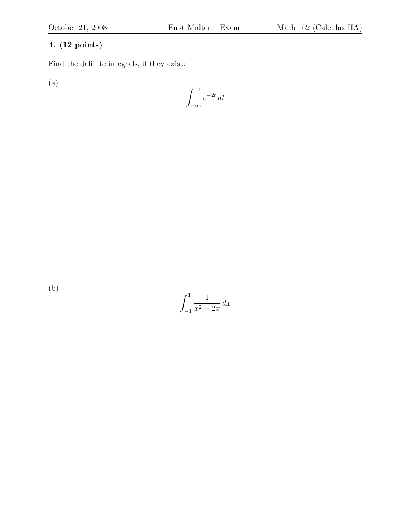## 4. (12 points)

Find the definite integrals, if they exist:

(a)

$$
\int_{-\infty}^{-1} e^{-2t} \, dt
$$

(b)

 $\int_0^1$ −1 1  $\frac{1}{x^2-2x} dx$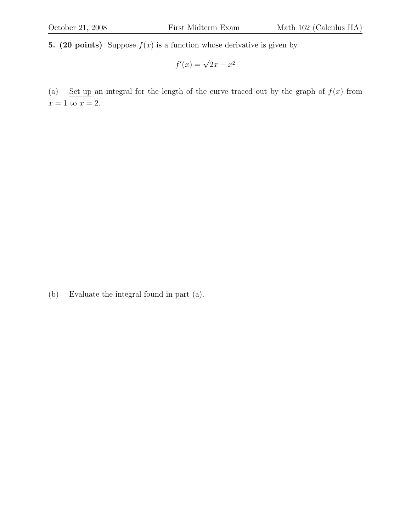5. (20 points) Suppose  $f(x)$  is a function whose derivative is given by

$$
f'(x) = \sqrt{2x - x^2}
$$

(a) Set up an integral for the length of the curve traced out by the graph of  $f(x)$  from  $x = 1$  to  $x = 2$ .

(b) Evaluate the integral found in part (a).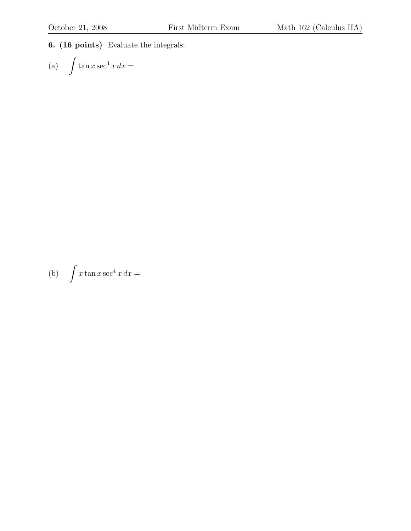6. (16 points) Evaluate the integrals:

(a) 
$$
\int \tan x \sec^4 x \, dx =
$$

$$
(b) \int x \tan x \sec^4 x \, dx =
$$